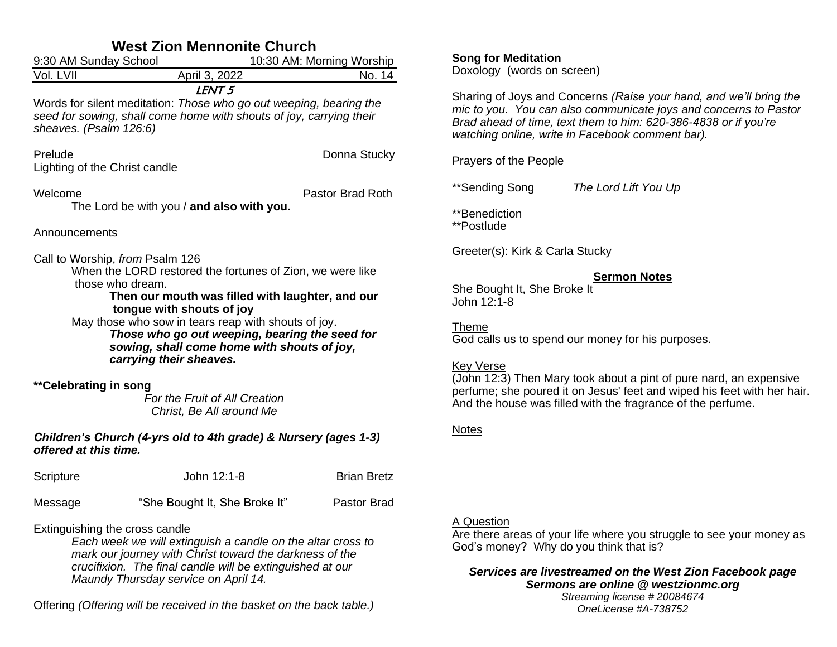| <b>West Zion Mennonite Church</b>                                                                                                                                                                                                                                                                                                                                                    |                                                                                                                                                                |                           |  |  |  |  |  |
|--------------------------------------------------------------------------------------------------------------------------------------------------------------------------------------------------------------------------------------------------------------------------------------------------------------------------------------------------------------------------------------|----------------------------------------------------------------------------------------------------------------------------------------------------------------|---------------------------|--|--|--|--|--|
| 9:30 AM Sunday School                                                                                                                                                                                                                                                                                                                                                                |                                                                                                                                                                | 10:30 AM: Morning Worship |  |  |  |  |  |
| Vol. LVII                                                                                                                                                                                                                                                                                                                                                                            | April 3, 2022                                                                                                                                                  | No. 14                    |  |  |  |  |  |
| sheaves. (Psalm 126:6)                                                                                                                                                                                                                                                                                                                                                               | LENT <sub>5</sub><br>Words for silent meditation: Those who go out weeping, bearing the<br>seed for sowing, shall come home with shouts of joy, carrying their |                           |  |  |  |  |  |
| Prelude<br>Lighting of the Christ candle                                                                                                                                                                                                                                                                                                                                             |                                                                                                                                                                | Donna Stucky              |  |  |  |  |  |
| Welcome                                                                                                                                                                                                                                                                                                                                                                              | The Lord be with you / and also with you.                                                                                                                      | Pastor Brad Roth          |  |  |  |  |  |
| Announcements                                                                                                                                                                                                                                                                                                                                                                        |                                                                                                                                                                |                           |  |  |  |  |  |
| Call to Worship, from Psalm 126<br>When the LORD restored the fortunes of Zion, we were like<br>those who dream.<br>Then our mouth was filled with laughter, and our<br>tongue with shouts of joy<br>May those who sow in tears reap with shouts of joy.<br>Those who go out weeping, bearing the seed for<br>sowing, shall come home with shouts of joy,<br>carrying their sheaves. |                                                                                                                                                                |                           |  |  |  |  |  |
| **Celebrating in song                                                                                                                                                                                                                                                                                                                                                                | For the Fruit of All Creation<br>Christ, Be All around Me                                                                                                      |                           |  |  |  |  |  |
| offered at this time.                                                                                                                                                                                                                                                                                                                                                                | Children's Church (4-yrs old to 4th grade) & Nursery (ages 1-3)                                                                                                |                           |  |  |  |  |  |
| Scripture                                                                                                                                                                                                                                                                                                                                                                            | John 12:1-8                                                                                                                                                    | <b>Brian Bretz</b>        |  |  |  |  |  |
| Message                                                                                                                                                                                                                                                                                                                                                                              | "She Bought It, She Broke It"                                                                                                                                  | Pastor Brad               |  |  |  |  |  |

Extinguishing the cross candle

*Each week we will extinguish a candle on the altar cross to mark our journey with Christ toward the darkness of the crucifixion. The final candle will be extinguished at our Maundy Thursday service on April 14.*

Offering *(Offering will be received in the basket on the back table.)*

# **Song for Meditation**

Doxology (words on screen)

Sharing of Joys and Concerns *(Raise your hand, and we'll bring the mic to you. You can also communicate joys and concerns to Pastor Brad ahead of time, text them to him: 620-386-4838 or if you're watching online, write in Facebook comment bar).*

Prayers of the People

\*\*Sending Song *The Lord Lift You Up*

\*\*Benediction \*\*Postlude

Greeter(s): Kirk & Carla Stucky

### **Sermon Notes**

She Bought It, She Broke It John 12:1-8

Theme God calls us to spend our money for his purposes.

### Key Verse

(John 12:3) Then Mary took about a pint of pure nard, an expensive perfume; she poured it on Jesus' feet and wiped his feet with her hair. And the house was filled with the fragrance of the perfume.

## Notes

## A Question

Are there areas of your life where you struggle to see your money as God's money? Why do you think that is?

## *Services are livestreamed on the West Zion Facebook page Sermons are online @ westzionmc.org*

*Streaming license # 20084674 OneLicense #A-738752*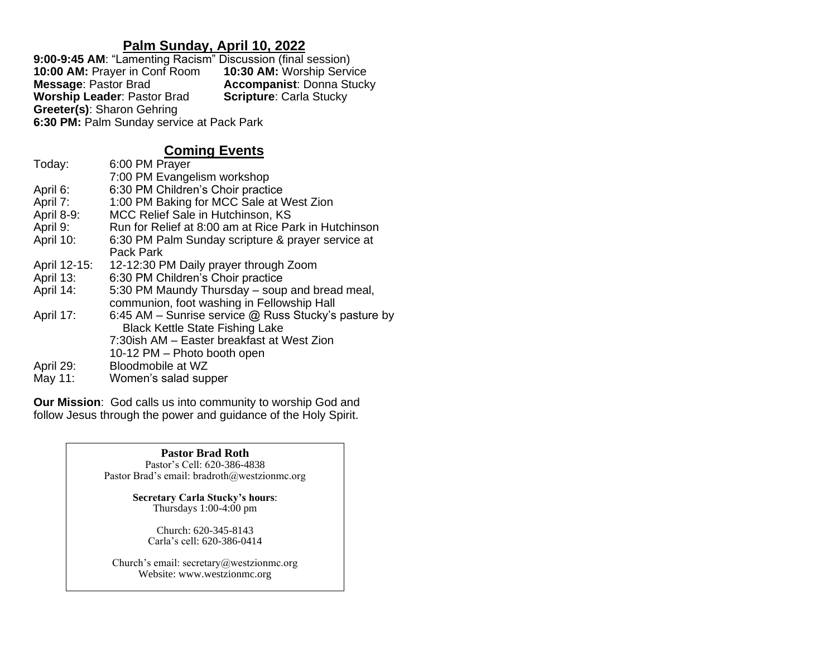## **Palm Sunday, April 10, 2022**

9:00-9:45 AM: "Lamenting Racism" Discussion (final session)<br>10:00 AM: Prayer in Conf Room **10:30 AM:** Worship Service **10:00 AM: Prayer in Conf Room Message: Pastor Brad Accompanist: Donna Stucky<br><b>Scripture:** Carla Stucky **Worship Leader: Pastor Brad Greeter(s)**: Sharon Gehring **6:30 PM:** Palm Sunday service at Pack Park

# **Coming Events**

| Today:       | 6:00 PM Prayer                                         |
|--------------|--------------------------------------------------------|
|              | 7:00 PM Evangelism workshop                            |
| April 6:     | 6:30 PM Children's Choir practice                      |
| April 7:     | 1:00 PM Baking for MCC Sale at West Zion               |
| April 8-9:   | MCC Relief Sale in Hutchinson, KS                      |
| April 9:     | Run for Relief at 8:00 am at Rice Park in Hutchinson   |
| April 10:    | 6:30 PM Palm Sunday scripture & prayer service at      |
|              | Pack Park                                              |
| April 12-15: | 12-12:30 PM Daily prayer through Zoom                  |
| April 13:    | 6:30 PM Children's Choir practice                      |
| April 14:    | 5:30 PM Maundy Thursday – soup and bread meal,         |
|              | communion, foot washing in Fellowship Hall             |
| April 17:    | 6:45 AM – Sunrise service $@$ Russ Stucky's pasture by |
|              | <b>Black Kettle State Fishing Lake</b>                 |
|              | 7:30ish AM - Easter breakfast at West Zion             |
|              | 10-12 PM - Photo booth open                            |
| April 29:    | Bloodmobile at WZ                                      |
| May 11:      | Women's salad supper                                   |

**Our Mission**: God calls us into community to worship God and follow Jesus through the power and guidance of the Holy Spirit.

> **Pastor Brad Roth** Pastor's Cell: 620-386-4838 Pastor Brad's email: bradroth@westzionmc.org

> > **Secretary Carla Stucky's hours**: Thursdays 1:00-4:00 pm

Church: 620-345-8143 Carla's cell: 620-386-0414

Church's email: secretary@westzionmc.org Website: www.westzionmc.org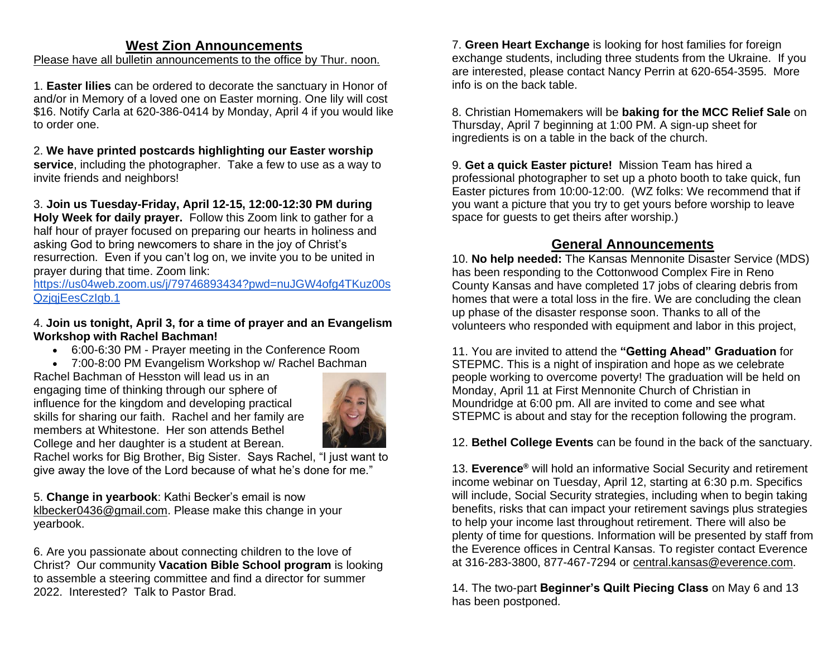#### **West Zion Announcements**

## Please have all bulletin announcements to the office by Thur. noon.

1. **Easter lilies** can be ordered to decorate the sanctuary in Honor of and/or in Memory of a loved one on Easter morning. One lily will cost \$16. Notify Carla at 620-386-0414 by Monday, April 4 if you would like to order one.

### 2. **We have printed postcards highlighting our Easter worship**

**service**, including the photographer. Take a few to use as a way to invite friends and neighbors!

3. **Join us Tuesday-Friday, April 12-15, 12:00-12:30 PM during Holy Week for daily prayer.** Follow this Zoom link to gather for a half hour of prayer focused on preparing our hearts in holiness and asking God to bring newcomers to share in the joy of Christ's resurrection. Even if you can't log on, we invite you to be united in prayer during that time. Zoom link:

[https://us04web.zoom.us/j/79746893434?pwd=nuJGW4ofg4TKuz00s](https://us04web.zoom.us/j/79746893434?pwd=nuJGW4ofg4TKuz00sQzjqjEesCzIgb.1) QzjqjEesCzlgb.1

#### 4. **Join us tonight, April 3, for a time of prayer and an Evangelism Workshop with Rachel Bachman!**

- 6:00-6:30 PM Prayer meeting in the Conference Room
- 7:00-8:00 PM Evangelism Workshop w/ Rachel Bachman

Rachel Bachman of Hesston will lead us in an engaging time of thinking through our sphere of influence for the kingdom and developing practical skills for sharing our faith. Rachel and her family are members at Whitestone. Her son attends Bethel College and her daughter is a student at Berean.



Rachel works for Big Brother, Big Sister. Says Rachel, "I just want to give away the love of the Lord because of what he's done for me."

5. **Change in yearbook**: Kathi Becker's email is now [klbecker0436@gmail.com.](mailto:klbecker0436@gmail.com) Please make this change in your yearbook.

6. Are you passionate about connecting children to the love of Christ? Our community **Vacation Bible School program** is looking to assemble a steering committee and find a director for summer 2022. Interested? Talk to Pastor Brad.

7. **Green Heart Exchange** is looking for host families for foreign exchange students, including three students from the Ukraine. If you are interested, please contact Nancy Perrin at 620-654-3595. More info is on the back table.

8. Christian Homemakers will be **baking for the MCC Relief Sale** on Thursday, April 7 beginning at 1:00 PM. A sign-up sheet for ingredients is on a table in the back of the church.

9. **Get a quick Easter picture!** Mission Team has hired a professional photographer to set up a photo booth to take quick, fun Easter pictures from 10:00-12:00. (WZ folks: We recommend that if you want a picture that you try to get yours before worship to leave space for guests to get theirs after worship.)

# **General Announcements**

10. **No help needed:** The Kansas Mennonite Disaster Service (MDS) has been responding to the Cottonwood Complex Fire in Reno County Kansas and have completed 17 jobs of clearing debris from homes that were a total loss in the fire. We are concluding the clean up phase of the disaster response soon. Thanks to all of the volunteers who responded with equipment and labor in this project,

11. You are invited to attend the **"Getting Ahead" Graduation** for STEPMC. This is a night of inspiration and hope as we celebrate people working to overcome poverty! The graduation will be held on Monday, April 11 at First Mennonite Church of Christian in Moundridge at 6:00 pm. All are invited to come and see what STEPMC is about and stay for the reception following the program.

12. **Bethel College Events** can be found in the back of the sanctuary.

13. **Everence®** will hold an informative Social Security and retirement income webinar on Tuesday, April 12, starting at 6:30 p.m. Specifics will include, Social Security strategies, including when to begin taking benefits, risks that can impact your retirement savings plus strategies to help your income last throughout retirement. There will also be plenty of time for questions. Information will be presented by staff from the Everence offices in Central Kansas. To register contact Everence at 316-283-3800, 877-467-7294 or [central.kansas@everence.com.](mailto:central.kansas@everence.com)

14. The two-part **Beginner's Quilt Piecing Class** on May 6 and 13 has been postponed.